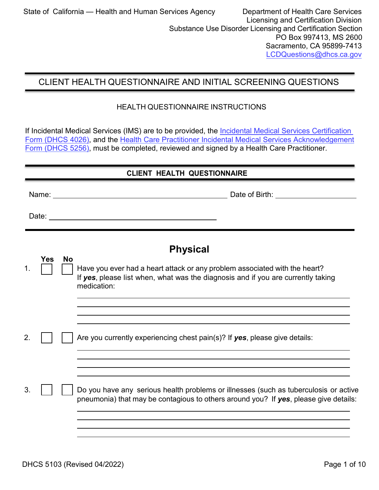# CLIENT HEALTH QUESTIONNAIRE AND INITIAL SCREENING QUESTIONS

### HEALTH QUESTIONNAIRE INSTRUCTIONS

If Incidental Medical Services (IMS) are to be provided, the Incidental Medical Services Certification [Form \(DHCS 4026\),](https://www.dhcs.ca.gov/provgovpart/Documents/DHCS-4026.pdf) and the [Health Care Practitioner Incidental Medical Services Acknowledgement](http://www.dhcs.ca.gov/provgovpart/Documents/DHCS_5256_Health.pdf) Form [\(DHCS](http://www.dhcs.ca.gov/provgovpart/Documents/DHCS_5256_Health.pdf) 5256), must be completed, reviewed and signed by a Health Care Practitioner.

## **CLIENT HEALTH QUESTIONNAIRE**

Name: Date of Birth:

Date:

|            | <b>Physical</b>                                                                                                                                                               |
|------------|-------------------------------------------------------------------------------------------------------------------------------------------------------------------------------|
|            | Have you ever had a heart attack or any problem associated with the heart?<br>If yes, please list when, what was the diagnosis and if you are currently taking<br>medication: |
|            | Are you currently experiencing chest pain(s)? If yes, please give details:                                                                                                    |
|            | Do you have any serious health problems or illnesses (such as tuberculosis or active<br>pneumonia) that may be contagious to others around you? If yes, please give details:  |
| <b>Yes</b> | <b>No</b>                                                                                                                                                                     |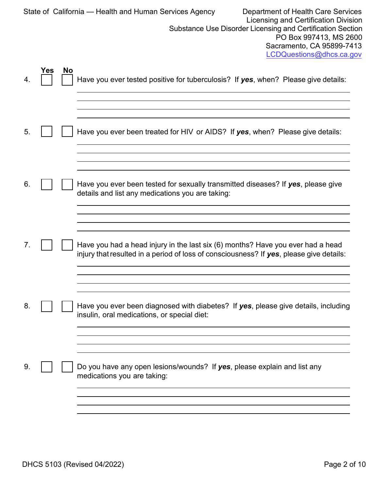|    |     |           | Department of Health Care Services<br>State of California — Health and Human Services Agency<br><b>Licensing and Certification Division</b><br>Substance Use Disorder Licensing and Certification Section<br>PO Box 997413, MS 2600<br>Sacramento, CA 95899-7413<br>LCDQuestions@dhcs.ca.gov |
|----|-----|-----------|----------------------------------------------------------------------------------------------------------------------------------------------------------------------------------------------------------------------------------------------------------------------------------------------|
| 4. | Yes | <b>No</b> | Have you ever tested positive for tuberculosis? If yes, when? Please give details:                                                                                                                                                                                                           |
| 5. |     |           | Have you ever been treated for HIV or AIDS? If yes, when? Please give details:                                                                                                                                                                                                               |
| 6. |     |           | Have you ever been tested for sexually transmitted diseases? If yes, please give<br>details and list any medications you are taking:                                                                                                                                                         |
|    |     |           | Have you had a head injury in the last six (6) months? Have you ever had a head<br>injury that resulted in a period of loss of consciousness? If yes, please give details:                                                                                                                   |
| 8. |     |           | Have you ever been diagnosed with diabetes? If yes, please give details, including<br>insulin, oral medications, or special diet:                                                                                                                                                            |
| 9. |     |           | Do you have any open lesions/wounds? If yes, please explain and list any<br>medications you are taking:                                                                                                                                                                                      |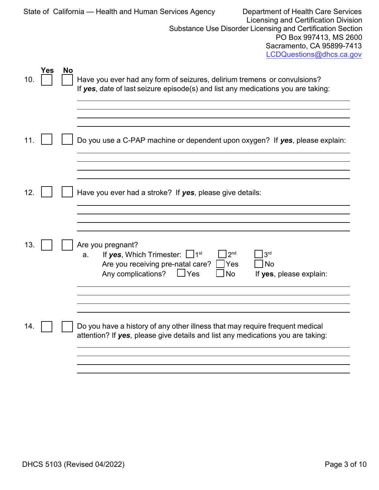|     |     |           | State of California - Health and Human Services Agency<br>Department of Health Care Services<br>Licensing and Certification Division<br>Substance Use Disorder Licensing and Certification Section<br>PO Box 997413, MS 2600<br>Sacramento, CA 95899-7413<br>LCDQuestions@dhcs.ca.gov |  |
|-----|-----|-----------|---------------------------------------------------------------------------------------------------------------------------------------------------------------------------------------------------------------------------------------------------------------------------------------|--|
| 10. | Yes | <b>No</b> | Have you ever had any form of seizures, delirium tremens or convulsions?<br>If yes, date of last seizure episode(s) and list any medications you are taking:                                                                                                                          |  |
| 11. |     |           | Do you use a C-PAP machine or dependent upon oxygen? If yes, please explain:                                                                                                                                                                                                          |  |
| 12. |     |           | Have you ever had a stroke? If yes, please give details:                                                                                                                                                                                                                              |  |
| 13. |     |           | Are you pregnant?<br>If yes, Which Trimester: $\Box$ 1st<br>2 <sub>nd</sub><br>3 <sup>rd</sup><br>a.<br>Are you receiving pre-natal care?<br>Yes<br>No<br>Any complications?<br>Yes<br>No<br>If yes, please explain:                                                                  |  |
| 14. |     |           | Do you have a history of any other illness that may require frequent medical<br>attention? If yes, please give details and list any medications you are taking:                                                                                                                       |  |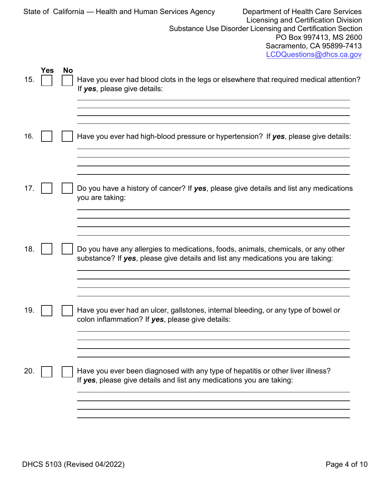|     |     |           | Department of Health Care Services<br>State of California — Health and Human Services Agency<br>Licensing and Certification Division<br>Substance Use Disorder Licensing and Certification Section<br>PO Box 997413, MS 2600<br>Sacramento, CA 95899-7413<br>LCDQuestions@dhcs.ca.gov |
|-----|-----|-----------|---------------------------------------------------------------------------------------------------------------------------------------------------------------------------------------------------------------------------------------------------------------------------------------|
| 15. | Yes | <b>No</b> | Have you ever had blood clots in the legs or elsewhere that required medical attention?<br>If yes, please give details:                                                                                                                                                               |
| 16. |     |           | Have you ever had high-blood pressure or hypertension? If yes, please give details:                                                                                                                                                                                                   |
| 17. |     |           | Do you have a history of cancer? If yes, please give details and list any medications<br>you are taking:                                                                                                                                                                              |
| 18. |     |           | Do you have any allergies to medications, foods, animals, chemicals, or any other<br>substance? If yes, please give details and list any medications you are taking:                                                                                                                  |
| 19. |     |           | Have you ever had an ulcer, gallstones, internal bleeding, or any type of bowel or<br>colon inflammation? If yes, please give details:                                                                                                                                                |
| 20. |     |           | Have you ever been diagnosed with any type of hepatitis or other liver illness?<br>If yes, please give details and list any medications you are taking:                                                                                                                               |
|     |     |           |                                                                                                                                                                                                                                                                                       |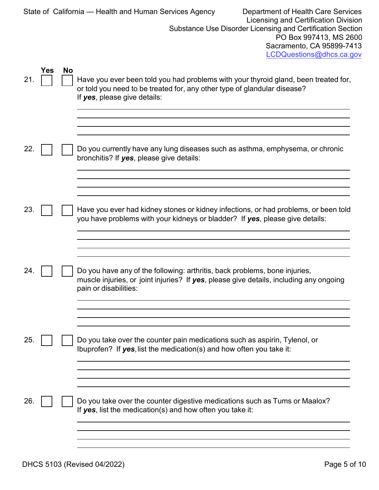|     |     |           | Department of Health Care Services<br>State of California — Health and Human Services Agency<br>Licensing and Certification Division                                                            |
|-----|-----|-----------|-------------------------------------------------------------------------------------------------------------------------------------------------------------------------------------------------|
|     |     |           | Substance Use Disorder Licensing and Certification Section<br>PO Box 997413, MS 2600<br>Sacramento, CA 95899-7413<br>LCDQuestions@dhcs.ca.gov                                                   |
| 21. | Yes | <b>No</b> | Have you ever been told you had problems with your thyroid gland, been treated for,<br>or told you need to be treated for, any other type of glandular disease?<br>If yes, please give details: |
| 22. |     |           | Do you currently have any lung diseases such as asthma, emphysema, or chronic<br>bronchitis? If yes, please give details:                                                                       |
| 23. |     |           | Have you ever had kidney stones or kidney infections, or had problems, or been told<br>you have problems with your kidneys or bladder? If yes, please give details:                             |
| 24. |     |           | Do you have any of the following: arthritis, back problems, bone injuries,<br>muscle injuries, or joint injuries? If yes, please give details, including any ongoing<br>pain or disabilities:   |
| 25. |     |           | Do you take over the counter pain medications such as aspirin, Tylenol, or<br>Ibuprofen? If $yes$ , list the medication(s) and how often you take it:                                           |
| 26. |     |           | Do you take over the counter digestive medications such as Tums or Maalox?<br>If $yes$ , list the medication(s) and how often you take it:                                                      |
|     |     |           |                                                                                                                                                                                                 |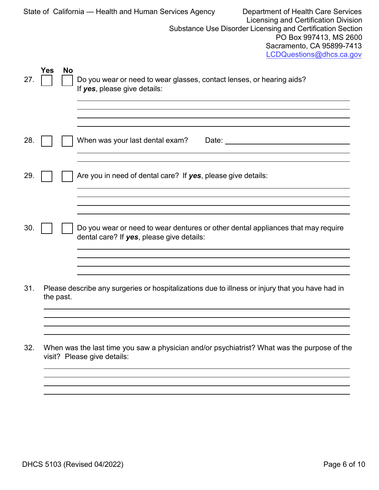|     |     |           | Department of Health Care Services<br>State of California - Health and Human Services Agency<br><b>Licensing and Certification Division</b><br>Substance Use Disorder Licensing and Certification Section<br>PO Box 997413, MS 2600<br>Sacramento, CA 95899-7413<br>LCDQuestions@dhcs.ca.gov |
|-----|-----|-----------|----------------------------------------------------------------------------------------------------------------------------------------------------------------------------------------------------------------------------------------------------------------------------------------------|
| 27. | Yes | <b>No</b> | Do you wear or need to wear glasses, contact lenses, or hearing aids?<br>If yes, please give details:                                                                                                                                                                                        |
|     |     |           |                                                                                                                                                                                                                                                                                              |
| 28. |     |           | When was your last dental exam?<br>Date: the contract of the contract of the contract of the contract of the contract of the contract of the contract of the contract of the contract of the contract of the contract of the contract of the contract of the cont                            |
| 29. |     |           | Are you in need of dental care? If yes, please give details:                                                                                                                                                                                                                                 |
|     |     |           |                                                                                                                                                                                                                                                                                              |
|     |     |           |                                                                                                                                                                                                                                                                                              |
| 30. |     |           | Do you wear or need to wear dentures or other dental appliances that may require<br>dental care? If yes, please give details:                                                                                                                                                                |
|     |     |           |                                                                                                                                                                                                                                                                                              |
| 31. |     | the past. | Please describe any surgeries or hospitalizations due to illness or injury that you have had in                                                                                                                                                                                              |
|     |     |           |                                                                                                                                                                                                                                                                                              |
| 32. |     |           | When was the last time you saw a physician and/or psychiatrist? What was the purpose of the<br>visit? Please give details:                                                                                                                                                                   |
|     |     |           |                                                                                                                                                                                                                                                                                              |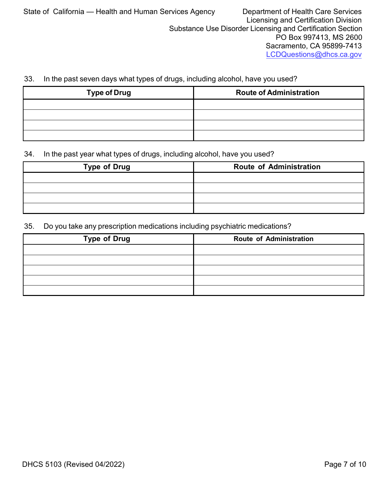### 33. In the past seven days what types of drugs, including alcohol, have you used?

| <b>Type of Drug</b> | <b>Route of Administration</b> |  |  |
|---------------------|--------------------------------|--|--|
|                     |                                |  |  |
|                     |                                |  |  |
|                     |                                |  |  |
|                     |                                |  |  |

#### 34. In the past year what types of drugs, including alcohol, have you used?

| <b>Type of Drug</b> | <b>Route of Administration</b> |
|---------------------|--------------------------------|
|                     |                                |
|                     |                                |
|                     |                                |
|                     |                                |

#### 35. Do you take any prescription medications including psychiatric medications?

| <b>Type of Drug</b> | <b>Route of Administration</b> |
|---------------------|--------------------------------|
|                     |                                |
|                     |                                |
|                     |                                |
|                     |                                |
|                     |                                |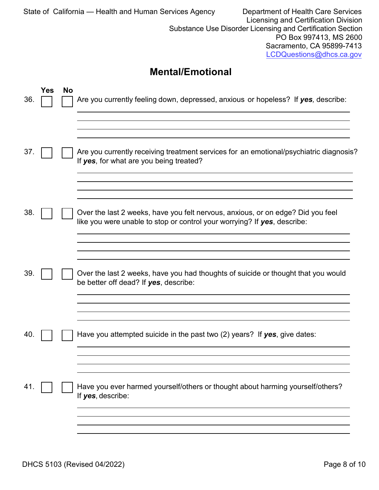| State of California — Health and Human Services Agency<br>Department of Health Care Services<br>Licensing and Certification Division<br>Substance Use Disorder Licensing and Certification Section<br>PO Box 997413, MS 2600<br>Sacramento, CA 95899-7413<br>LCDQuestions@dhcs.ca.gov |            |           |                                                                                                                                                             |  |
|---------------------------------------------------------------------------------------------------------------------------------------------------------------------------------------------------------------------------------------------------------------------------------------|------------|-----------|-------------------------------------------------------------------------------------------------------------------------------------------------------------|--|
|                                                                                                                                                                                                                                                                                       |            |           | <b>Mental/Emotional</b>                                                                                                                                     |  |
| 36.                                                                                                                                                                                                                                                                                   | <b>Yes</b> | <b>No</b> | Are you currently feeling down, depressed, anxious or hopeless? If yes, describe:                                                                           |  |
|                                                                                                                                                                                                                                                                                       |            |           |                                                                                                                                                             |  |
| 37.                                                                                                                                                                                                                                                                                   |            |           | Are you currently receiving treatment services for an emotional/psychiatric diagnosis?<br>If yes, for what are you being treated?                           |  |
|                                                                                                                                                                                                                                                                                       |            |           |                                                                                                                                                             |  |
| 38.                                                                                                                                                                                                                                                                                   |            |           | Over the last 2 weeks, have you felt nervous, anxious, or on edge? Did you feel<br>like you were unable to stop or control your worrying? If yes, describe: |  |
|                                                                                                                                                                                                                                                                                       |            |           |                                                                                                                                                             |  |
| 39.                                                                                                                                                                                                                                                                                   |            |           | Over the last 2 weeks, have you had thoughts of suicide or thought that you would<br>be better off dead? If yes, describe:                                  |  |
|                                                                                                                                                                                                                                                                                       |            |           |                                                                                                                                                             |  |
| 40.                                                                                                                                                                                                                                                                                   |            |           | Have you attempted suicide in the past two $(2)$ years? If yes, give dates:                                                                                 |  |
|                                                                                                                                                                                                                                                                                       |            |           |                                                                                                                                                             |  |
| 41.                                                                                                                                                                                                                                                                                   |            |           | Have you ever harmed yourself/others or thought about harming yourself/others?<br>If yes, describe:                                                         |  |
|                                                                                                                                                                                                                                                                                       |            |           |                                                                                                                                                             |  |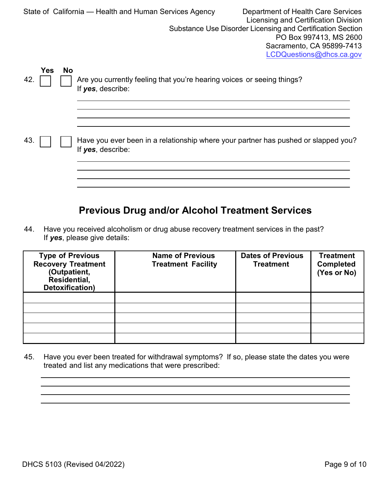|                                | Department of Health Care Services<br>State of California — Health and Human Services Agency<br>Licensing and Certification Division<br>Substance Use Disorder Licensing and Certification Section<br>PO Box 997413, MS 2600<br>Sacramento, CA 95899-7413<br>LCDQuestions@dhcs.ca.gov |
|--------------------------------|---------------------------------------------------------------------------------------------------------------------------------------------------------------------------------------------------------------------------------------------------------------------------------------|
| <b>No</b><br><b>Yes</b><br>42. | Are you currently feeling that you're hearing voices or seeing things?<br>If yes, describe:                                                                                                                                                                                           |
| 43.                            | Have you ever been in a relationship where your partner has pushed or slapped you?<br>If yes, describe:                                                                                                                                                                               |

# **Previous Drug and/or Alcohol Treatment Services**

44. Have you received alcoholism or drug abuse recovery treatment services in the past? If *yes*, please give details:

| <b>Type of Previous</b><br><b>Recovery Treatment</b><br>(Outpatient,<br>Residential,<br>Detoxification) | <b>Name of Previous</b><br><b>Treatment Facility</b> | <b>Dates of Previous</b><br><b>Treatment</b> | <b>Treatment</b><br><b>Completed</b><br>(Yes or No) |
|---------------------------------------------------------------------------------------------------------|------------------------------------------------------|----------------------------------------------|-----------------------------------------------------|
|                                                                                                         |                                                      |                                              |                                                     |
|                                                                                                         |                                                      |                                              |                                                     |
|                                                                                                         |                                                      |                                              |                                                     |
|                                                                                                         |                                                      |                                              |                                                     |
|                                                                                                         |                                                      |                                              |                                                     |

45. Have you ever been treated for withdrawal symptoms? If so, please state the dates you were treated and list any medications that were prescribed: